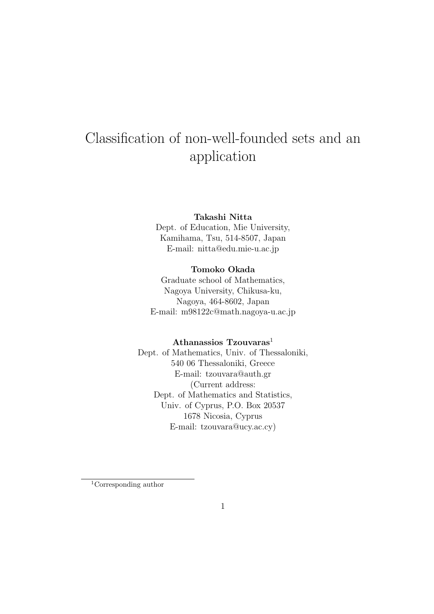# Classification of non-well-founded sets and an application

### Takashi Nitta

Dept. of Education, Mie University, Kamihama, Tsu, 514-8507, Japan E-mail: nitta@edu.mie-u.ac.jp

### Tomoko Okada

Graduate school of Mathematics, Nagoya University, Chikusa-ku, Nagoya, 464-8602, Japan E-mail: m98122c@math.nagoya-u.ac.jp

### Athanassios  $Tz$ ouvaras<sup>1</sup>

Dept. of Mathematics, Univ. of Thessaloniki, 540 06 Thessaloniki, Greece E-mail: tzouvara@auth.gr (Current address: Dept. of Mathematics and Statistics, Univ. of Cyprus, P.O. Box 20537 1678 Nicosia, Cyprus E-mail: tzouvara@ucy.ac.cy)

<sup>1</sup>Corresponding author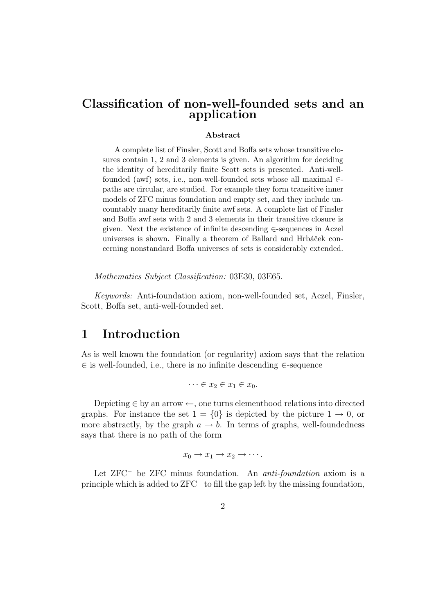# Classification of non-well-founded sets and an application

#### Abstract

A complete list of Finsler, Scott and Boffa sets whose transitive closures contain 1, 2 and 3 elements is given. An algorithm for deciding the identity of hereditarily finite Scott sets is presented. Anti-wellfounded (awf) sets, i.e., non-well-founded sets whose all maximal  $\in$ paths are circular, are studied. For example they form transitive inner models of ZFC minus foundation and empty set, and they include uncountably many hereditarily finite awf sets. A complete list of Finsler and Boffa awf sets with 2 and 3 elements in their transitive closure is given. Next the existence of infinite descending ∈-sequences in Aczel universes is shown. Finally a theorem of Ballard and Hrbáček concerning nonstandard Boffa universes of sets is considerably extended.

Mathematics Subject Classification: 03E30, 03E65.

Keywords: Anti-foundation axiom, non-well-founded set, Aczel, Finsler, Scott, Boffa set, anti-well-founded set.

# 1 Introduction

As is well known the foundation (or regularity) axiom says that the relation ∈ is well-founded, i.e., there is no infinite descending ∈-sequence

$$
\cdots \in x_2 \in x_1 \in x_0.
$$

Depicting  $\in$  by an arrow  $\leftarrow$ , one turns elementhood relations into directed graphs. For instance the set  $1 = \{0\}$  is depicted by the picture  $1 \rightarrow 0$ , or more abstractly, by the graph  $a \rightarrow b$ . In terms of graphs, well-foundedness says that there is no path of the form

$$
x_0 \to x_1 \to x_2 \to \cdots.
$$

Let ZFC<sup>−</sup> be ZFC minus foundation. An anti-foundation axiom is a principle which is added to ZFC<sup>−</sup> to fill the gap left by the missing foundation,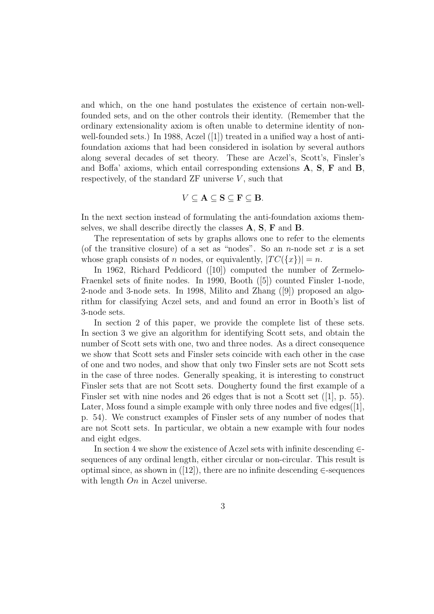and which, on the one hand postulates the existence of certain non-wellfounded sets, and on the other controls their identity. (Remember that the ordinary extensionality axiom is often unable to determine identity of nonwell-founded sets.) In 1988, Aczel  $(|1|)$  treated in a unified way a host of antifoundation axioms that had been considered in isolation by several authors along several decades of set theory. These are Aczel's, Scott's, Finsler's and Boffa' axioms, which entail corresponding extensions A, S, F and B, respectively, of the standard  $ZF$  universe  $V$ , such that

$$
V\subseteq \mathbf{A}\subseteq \mathbf{S}\subseteq \mathbf{F}\subseteq \mathbf{B}.
$$

In the next section instead of formulating the anti-foundation axioms themselves, we shall describe directly the classes A, S, F and B.

The representation of sets by graphs allows one to refer to the elements (of the transitive closure) of a set as "nodes". So an *n*-node set  $x$  is a set whose graph consists of n nodes, or equivalently,  $|TC(\lbrace x \rbrace)| = n$ .

In 1962, Richard Peddicord ([10]) computed the number of Zermelo-Fraenkel sets of finite nodes. In 1990, Booth ([5]) counted Finsler 1-node, 2-node and 3-node sets. In 1998, Milito and Zhang ([9]) proposed an algorithm for classifying Aczel sets, and and found an error in Booth's list of 3-node sets.

In section 2 of this paper, we provide the complete list of these sets. In section 3 we give an algorithm for identifying Scott sets, and obtain the number of Scott sets with one, two and three nodes. As a direct consequence we show that Scott sets and Finsler sets coincide with each other in the case of one and two nodes, and show that only two Finsler sets are not Scott sets in the case of three nodes. Generally speaking, it is interesting to construct Finsler sets that are not Scott sets. Dougherty found the first example of a Finsler set with nine nodes and 26 edges that is not a Scott set  $([1], p. 55)$ . Later, Moss found a simple example with only three nodes and five edges $([1],$ p. 54). We construct examples of Finsler sets of any number of nodes that are not Scott sets. In particular, we obtain a new example with four nodes and eight edges.

In section 4 we show the existence of Aczel sets with infinite descending  $\in$ sequences of any ordinal length, either circular or non-circular. This result is optimal since, as shown in  $([12])$ , there are no infinite descending  $\in$ -sequences with length  $On$  in Aczel universe.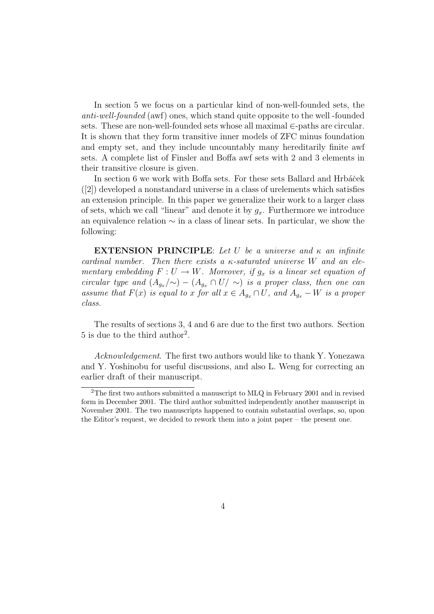In section 5 we focus on a particular kind of non-well-founded sets, the anti-well-founded (awf) ones, which stand quite opposite to the well -founded sets. These are non-well-founded sets whose all maximal ∈-paths are circular. It is shown that they form transitive inner models of ZFC minus foundation and empty set, and they include uncountably many hereditarily finite awf sets. A complete list of Finsler and Boffa awf sets with 2 and 3 elements in their transitive closure is given.

In section 6 we work with Boffa sets. For these sets Ballard and Hrbáček ([2]) developed a nonstandard universe in a class of urelements which satisfies an extension principle. In this paper we generalize their work to a larger class of sets, which we call "linear" and denote it by  $g_x$ . Furthermore we introduce an equivalence relation ∼ in a class of linear sets. In particular, we show the following:

**EXTENSION PRINCIPLE:** Let U be a universe and  $\kappa$  an infinite cardinal number. Then there exists a  $\kappa$ -saturated universe W and an elementary embedding  $F: U \to W$ . Moreover, if  $g_x$  is a linear set equation of circular type and  $(A_{g_x}/\sim) - (A_{g_x} \cap U/\sim)$  is a proper class, then one can assume that  $F(x)$  is equal to x for all  $x \in A_{q_x} \cap U$ , and  $A_{q_x} - W$  is a proper class.

The results of sections 3, 4 and 6 are due to the first two authors. Section 5 is due to the third author<sup>2</sup> .

Acknowledgement. The first two authors would like to thank Y. Yonezawa and Y. Yoshinobu for useful discussions, and also L. Weng for correcting an earlier draft of their manuscript.

<sup>&</sup>lt;sup>2</sup>The first two authors submitted a manuscript to MLQ in February 2001 and in revised form in December 2001. The third author submitted independently another manuscript in November 2001. The two manuscripts happened to contain substantial overlaps, so, upon the Editor's request, we decided to rework them into a joint paper – the present one.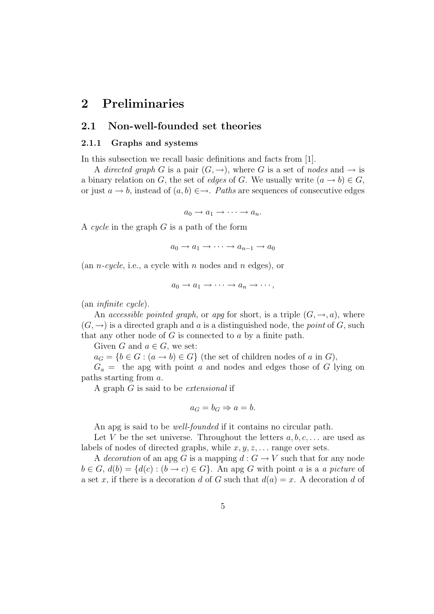# 2 Preliminaries

# 2.1 Non-well-founded set theories

#### 2.1.1 Graphs and systems

In this subsection we recall basic definitions and facts from [1].

A directed graph G is a pair  $(G, \rightarrow)$ , where G is a set of nodes and  $\rightarrow$  is a binary relation on G, the set of edges of G. We usually write  $(a \to b) \in G$ , or just  $a \to b$ , instead of  $(a, b) \in \to$ . Paths are sequences of consecutive edges

 $a_0 \rightarrow a_1 \rightarrow \cdots \rightarrow a_n.$ 

A cycle in the graph  $G$  is a path of the form

 $a_0 \rightarrow a_1 \rightarrow \cdots \rightarrow a_{n-1} \rightarrow a_0$ 

(an *n-cycle*, i.e., a cycle with *n* nodes and *n* edges), or

$$
a_0 \to a_1 \to \cdots \to a_n \to \cdots,
$$

(an infinite cycle).

An accessible pointed graph, or apg for short, is a triple  $(G, \rightarrow, a)$ , where  $(G, \rightarrow)$  is a directed graph and a is a distinguished node, the *point* of G, such that any other node of  $G$  is connected to  $a$  by a finite path.

Given G and  $a \in G$ , we set:

 $a_G = \{b \in G : (a \to b) \in G\}$  (the set of children nodes of a in G),

 $G_a =$  the apg with point a and nodes and edges those of G lying on paths starting from a.

A graph G is said to be extensional if

$$
a_G = b_G \Rightarrow a = b.
$$

An apg is said to be *well-founded* if it contains no circular path.

Let V be the set universe. Throughout the letters  $a, b, c, \ldots$  are used as labels of nodes of directed graphs, while  $x, y, z, \ldots$  range over sets.

A decoration of an apg G is a mapping  $d: G \to V$  such that for any node  $b \in G$ ,  $d(b) = \{d(c) : (b \rightarrow c) \in G\}$ . An apg G with point a is a a picture of a set x, if there is a decoration d of G such that  $d(a) = x$ . A decoration d of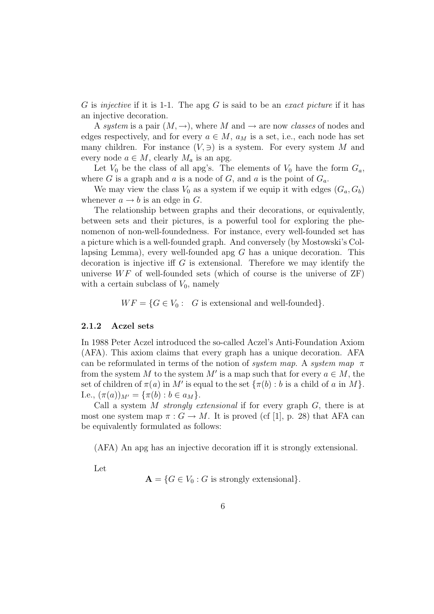G is injective if it is 1-1. The apg G is said to be an exact picture if it has an injective decoration.

A system is a pair  $(M, \rightarrow)$ , where M and  $\rightarrow$  are now classes of nodes and edges respectively, and for every  $a \in M$ ,  $a_M$  is a set, i.e., each node has set many children. For instance  $(V, \ni)$  is a system. For every system M and every node  $a \in M$ , clearly  $M_a$  is an apg.

Let  $V_0$  be the class of all apg's. The elements of  $V_0$  have the form  $G_a$ , where G is a graph and a is a node of G, and a is the point of  $G_a$ .

We may view the class  $V_0$  as a system if we equip it with edges  $(G_a, G_b)$ whenever  $a \rightarrow b$  is an edge in G.

The relationship between graphs and their decorations, or equivalently, between sets and their pictures, is a powerful tool for exploring the phenomenon of non-well-foundedness. For instance, every well-founded set has a picture which is a well-founded graph. And conversely (by Mostowski's Collapsing Lemma), every well-founded apg  $G$  has a unique decoration. This decoration is injective iff  $G$  is extensional. Therefore we may identify the universe  $WF$  of well-founded sets (which of course is the universe of  $ZF$ ) with a certain subclass of  $V_0$ , namely

 $WF = \{G \in V_0: G \text{ is extensional and well-founded}\}.$ 

#### 2.1.2 Aczel sets

In 1988 Peter Aczel introduced the so-called Aczel's Anti-Foundation Axiom (AFA). This axiom claims that every graph has a unique decoration. AFA can be reformulated in terms of the notion of system map. A system map  $\pi$ from the system M to the system M' is a map such that for every  $a \in M$ , the set of children of  $\pi(a)$  in M' is equal to the set  $\{\pi(b) : b$  is a child of a in M}. I.e.,  $(\pi(a))_{M'} = {\pi(b) : b \in a_M}.$ 

Call a system M strongly extensional if for every graph  $G$ , there is at most one system map  $\pi: G \to M$ . It is proved (cf [1], p. 28) that AFA can be equivalently formulated as follows:

(AFA) An apg has an injective decoration iff it is strongly extensional.

Let

 $\mathbf{A} = \{G \in V_0 : G \text{ is strongly extensional}\}.$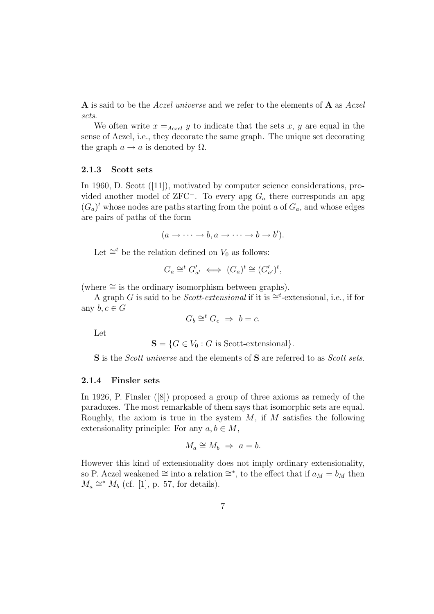A is said to be the Aczel universe and we refer to the elements of A as Aczel sets.

We often write  $x =_{Aczel} y$  to indicate that the sets x, y are equal in the sense of Aczel, i.e., they decorate the same graph. The unique set decorating the graph  $a \rightarrow a$  is denoted by  $\Omega$ .

#### 2.1.3 Scott sets

In 1960, D. Scott ([11]), motivated by computer science considerations, provided another model of ZFC<sup>-</sup>. To every apg  $G_a$  there corresponds an apg  $(G_a)^t$  whose nodes are paths starting from the point a of  $G_a$ , and whose edges are pairs of paths of the form

$$
(a \to \cdots \to b, a \to \cdots \to b \to b').
$$

Let  $\cong^t$  be the relation defined on  $V_0$  as follows:

$$
G_a \cong^t G'_{a'} \iff (G_a)^t \cong (G'_{a'})^t,
$$

(where  $\cong$  is the ordinary isomorphism between graphs).

A graph G is said to be *Scott-extensional* if it is  $\cong^t$ -extensional, i.e., if for any  $b, c \in G$ 

$$
G_b \cong^t G_c \Rightarrow b = c.
$$

Let

$$
\mathbf{S} = \{ G \in V_0 : G \text{ is Scott-extensional} \}.
$$

S is the *Scott universe* and the elements of S are referred to as *Scott sets*.

#### 2.1.4 Finsler sets

In 1926, P. Finsler ([8]) proposed a group of three axioms as remedy of the paradoxes. The most remarkable of them says that isomorphic sets are equal. Roughly, the axiom is true in the system  $M$ , if  $M$  satisfies the following extensionality principle: For any  $a, b \in M$ ,

$$
M_a \cong M_b \Rightarrow a = b.
$$

However this kind of extensionality does not imply ordinary extensionality, so P. Aczel weakened ≅ into a relation ≅\*, to the effect that if  $a_M = b_M$  then  $M_a \cong M_b$  (cf. [1], p. 57, for details).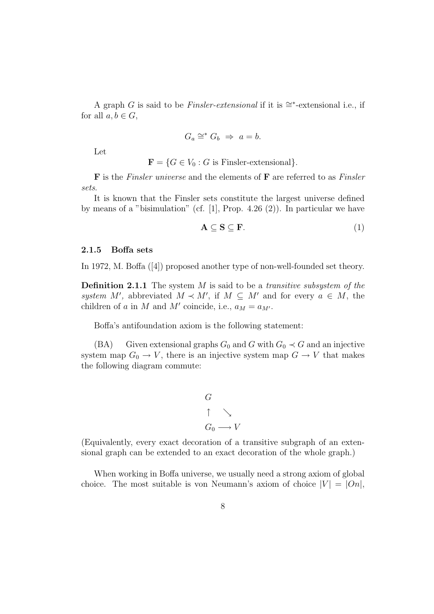A graph G is said to be *Finsler-extensional* if it is  $\cong$ \*-extensional i.e., if for all  $a, b \in G$ ,

$$
G_a \cong^* G_b \Rightarrow a = b.
$$

Let

 $\mathbf{F} = \{G \in V_0 : G \text{ is Finsler-extensional}\}.$ 

 **is the Finsler universe and the elements of**  $**F**$  **are referred to as Finsler** sets.

It is known that the Finsler sets constitute the largest universe defined by means of a "bisimulation" (cf.  $[1]$ , Prop. 4.26  $(2)$ ). In particular we have

$$
\mathbf{A} \subseteq \mathbf{S} \subseteq \mathbf{F}.\tag{1}
$$

#### 2.1.5 Boffa sets

In 1972, M. Boffa ([4]) proposed another type of non-well-founded set theory.

**Definition 2.1.1** The system  $M$  is said to be a *transitive subsystem of the* system M', abbreviated  $M \prec M'$ , if  $M \subseteq M'$  and for every  $a \in M$ , the children of a in M and M' coincide, i.e.,  $a_M = a_{M'}$ .

Boffa's antifoundation axiom is the following statement:

(BA) Given extensional graphs  $G_0$  and G with  $G_0 \prec G$  and an injective system map  $G_0 \to V$ , there is an injective system map  $G \to V$  that makes the following diagram commute:

$$
G
$$
\n
$$
\uparrow \searrow
$$
\n
$$
G_0 \longrightarrow V
$$

(Equivalently, every exact decoration of a transitive subgraph of an extensional graph can be extended to an exact decoration of the whole graph.)

When working in Boffa universe, we usually need a strong axiom of global choice. The most suitable is von Neumann's axiom of choice  $|V| = |On|$ ,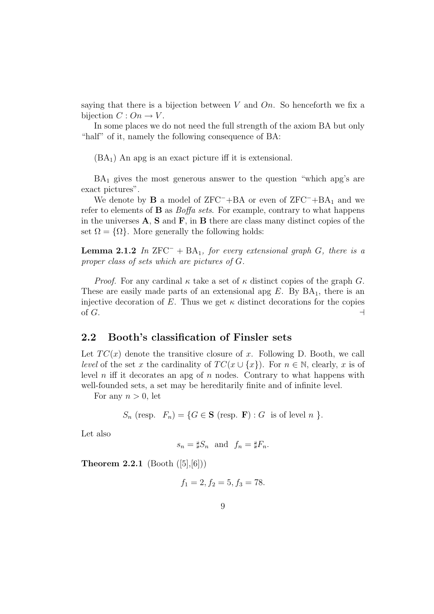saying that there is a bijection between V and  $On.$  So henceforth we fix a bijection  $C: On \to V$ .

In some places we do not need the full strength of the axiom BA but only "half" of it, namely the following consequence of BA:

 $(BA_1)$  An apg is an exact picture iff it is extensional.

 $BA<sub>1</sub>$  gives the most generous answer to the question "which apg's are exact pictures".

We denote by **B** a model of  $ZFC^{-}+BA$  or even of  $ZFC^{-}+BA_{1}$  and we refer to elements of  $\bf{B}$  as *Boffa sets*. For example, contrary to what happens in the universes  $A$ ,  $S$  and  $F$ , in  $B$  there are class many distinct copies of the set  $\Omega = {\Omega}$ . More generally the following holds:

**Lemma 2.1.2** In ZFC<sup> $-$ </sup> + BA<sub>1</sub>, for every extensional graph G, there is a proper class of sets which are pictures of G.

*Proof.* For any cardinal  $\kappa$  take a set of  $\kappa$  distinct copies of the graph G. These are easily made parts of an extensional apg  $E$ . By  $BA<sub>1</sub>$ , there is an injective decoration of E. Thus we get  $\kappa$  distinct decorations for the copies of  $G$ .

### 2.2 Booth's classification of Finsler sets

Let  $TC(x)$  denote the transitive closure of x. Following D. Booth, we call level of the set x the cardinality of  $TC(x \cup \{x\})$ . For  $n \in \mathbb{N}$ , clearly, x is of level n iff it decorates an apg of n nodes. Contrary to what happens with well-founded sets, a set may be hereditarily finite and of infinite level.

For any  $n > 0$ , let

 $S_n$  (resp.  $F_n$ ) = { $G \in \mathbf{S}$  (resp. **F**) :  $G$  is of level  $n$  }.

Let also

$$
s_n = \sharp S_n \text{ and } f_n = \sharp F_n.
$$

**Theorem 2.2.1** (Booth  $([5],[6])$ )

$$
f_1 = 2, f_2 = 5, f_3 = 78.
$$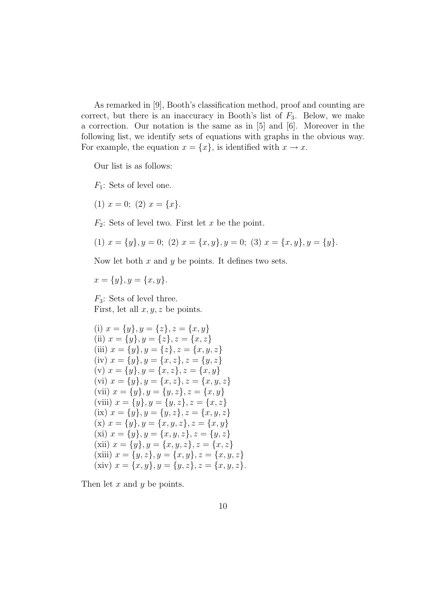As remarked in [9], Booth's classification method, proof and counting are correct, but there is an inaccuracy in Booth's list of  $F_3$ . Below, we make a correction. Our notation is the same as in [5] and [6]. Moreover in the following list, we identify sets of equations with graphs in the obvious way. For example, the equation  $x = \{x\}$ , is identified with  $x \to x$ .

Our list is as follows:

 $F_1$ : Sets of level one.

(1)  $x = 0$ ; (2)  $x = \{x\}.$ 

 $F_2$ : Sets of level two. First let x be the point.

(1) 
$$
x = \{y\}, y = 0
$$
; (2)  $x = \{x, y\}, y = 0$ ; (3)  $x = \{x, y\}, y = \{y\}.$ 

Now let both  $x$  and  $y$  be points. It defines two sets.

 $x = \{y\}, y = \{x, y\}.$ 

 $F_3$ : Sets of level three. First, let all  $x, y, z$  be points.

(i) 
$$
x = \{y\}, y = \{z\}, z = \{x, y\}
$$
  
\n(ii)  $x = \{y\}, y = \{z\}, z = \{x, z\}$   
\n(iii)  $x = \{y\}, y = \{z\}, z = \{x, y, z\}$   
\n(iv)  $x = \{y\}, y = \{x, z\}, z = \{y, z\}$   
\n(v)  $x = \{y\}, y = \{x, z\}, z = \{x, y\}$   
\n(vi)  $x = \{y\}, y = \{x, z\}, z = \{x, y\}$   
\n(vii)  $x = \{y\}, y = \{y, z\}, z = \{x, y\}$   
\n(viii)  $x = \{y\}, y = \{y, z\}, z = \{x, y\}$   
\n(ix)  $x = \{y\}, y = \{y, z\}, z = \{x, y, z\}$   
\n(x)  $x = \{y\}, y = \{x, y, z\}, z = \{x, y\}$   
\n(xi)  $x = \{y\}, y = \{x, y, z\}, z = \{y, z\}$   
\n(xii)  $x = \{y\}, y = \{x, y, z\}, z = \{y, z\}$   
\n(xiii)  $x = \{y\}, y = \{x, y, z\}, z = \{x, y, z\}$   
\n(xiii)  $x = \{y, z\}, y = \{x, y\}, z = \{x, y, z\}$   
\n(xiv)  $x = \{x, y\}, y = \{y, z\}, z = \{x, y, z\}.$ 

Then let  $x$  and  $y$  be points.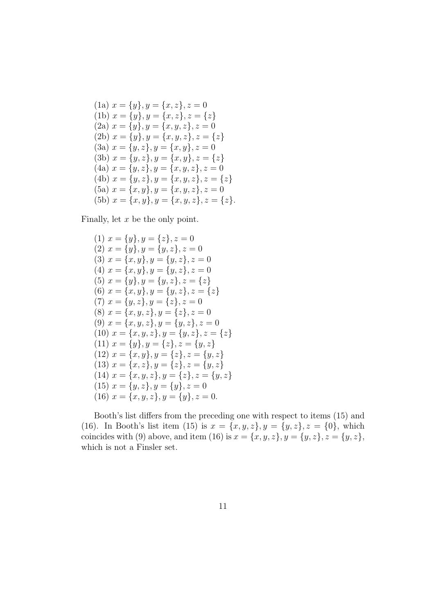(1a) 
$$
x = \{y\}, y = \{x, z\}, z = 0
$$
  
\n(1b)  $x = \{y\}, y = \{x, z\}, z = \{z\}$   
\n(2a)  $x = \{y\}, y = \{x, y, z\}, z = 0$   
\n(2b)  $x = \{y\}, y = \{x, y, z\}, z = \{z\}$   
\n(3a)  $x = \{y, z\}, y = \{x, y\}, z = 0$   
\n(3b)  $x = \{y, z\}, y = \{x, y\}, z = \{z\}$   
\n(4a)  $x = \{y, z\}, y = \{x, y, z\}, z = 0$   
\n(4b)  $x = \{y, z\}, y = \{x, y, z\}, z = \{z\}$   
\n(5a)  $x = \{x, y\}, y = \{x, y, z\}, z = 0$   
\n(5b)  $x = \{x, y\}, y = \{x, y, z\}, z = \{z\}$ .

Finally, let  $x$  be the only point.

(1) 
$$
x = \{y\}, y = \{z\}, z = 0
$$
  
\n(2)  $x = \{y\}, y = \{y, z\}, z = 0$   
\n(3)  $x = \{x, y\}, y = \{y, z\}, z = 0$   
\n(4)  $x = \{x, y\}, y = \{y, z\}, z = 0$   
\n(5)  $x = \{y\}, y = \{y, z\}, z = \{z\}$   
\n(6)  $x = \{x, y\}, y = \{y, z\}, z = \{z\}$   
\n(7)  $x = \{y, z\}, y = \{z\}, z = 0$   
\n(8)  $x = \{x, y, z\}, y = \{z\}, z = 0$   
\n(9)  $x = \{x, y, z\}, y = \{y, z\}, z = \{z\}$   
\n(10)  $x = \{x, y, z\}, y = \{y, z\}, z = \{z\}$   
\n(11)  $x = \{y\}, y = \{z\}, z = \{y, z\}$   
\n(12)  $x = \{x, y\}, y = \{z\}, z = \{y, z\}$   
\n(13)  $x = \{x, z\}, y = \{z\}, z = \{y, z\}$   
\n(14)  $x = \{x, y, z\}, y = \{z\}, z = \{y, z\}$   
\n(15)  $x = \{y, z\}, y = \{y\}, z = 0$   
\n(16)  $x = \{x, y, z\}, y = \{y\}, z = 0$ 

Booth's list differs from the preceding one with respect to items (15) and (16). In Booth's list item (15) is  $x = \{x, y, z\}, y = \{y, z\}, z = \{0\}$ , which coincides with (9) above, and item (16) is  $x = \{x, y, z\}, y = \{y, z\}, z = \{y, z\},\$ which is not a Finsler set.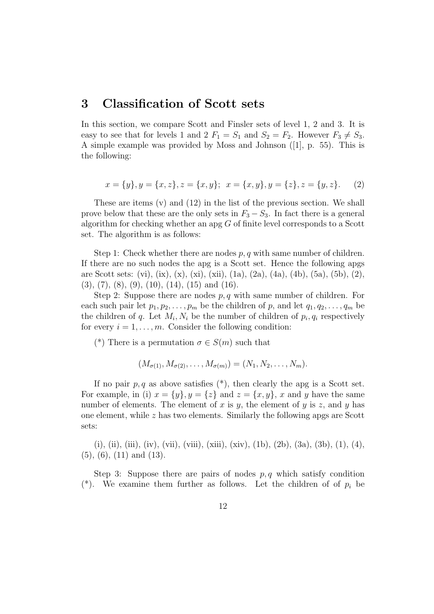# 3 Classification of Scott sets

In this section, we compare Scott and Finsler sets of level 1, 2 and 3. It is easy to see that for levels 1 and 2  $F_1 = S_1$  and  $S_2 = F_2$ . However  $F_3 \neq S_3$ . A simple example was provided by Moss and Johnson ([1], p. 55). This is the following:

$$
x = \{y\}, y = \{x, z\}, z = \{x, y\}; \ \ x = \{x, y\}, y = \{z\}, z = \{y, z\}.
$$
 (2)

These are items (v) and (12) in the list of the previous section. We shall prove below that these are the only sets in  $F_3 - S_3$ . In fact there is a general algorithm for checking whether an apg G of finite level corresponds to a Scott set. The algorithm is as follows:

Step 1: Check whether there are nodes  $p, q$  with same number of children. If there are no such nodes the apg is a Scott set. Hence the following apgs are Scott sets: (vi), (ix), (x), (xi), (xii), (1a), (2a), (4a), (4b), (5a), (5b), (2),  $(3), (7), (8), (9), (10), (14), (15)$  and  $(16).$ 

Step 2: Suppose there are nodes  $p, q$  with same number of children. For each such pair let  $p_1, p_2, \ldots, p_m$  be the children of p, and let  $q_1, q_2, \ldots, q_m$  be the children of q. Let  $M_i, N_i$  be the number of children of  $p_i, q_i$  respectively for every  $i = 1, \ldots, m$ . Consider the following condition:

(\*) There is a permutation  $\sigma \in S(m)$  such that

$$
(M_{\sigma(1)}, M_{\sigma(2)}, \ldots, M_{\sigma(m)}) = (N_1, N_2, \ldots, N_m).
$$

If no pair  $p, q$  as above satisfies  $(*)$ , then clearly the apg is a Scott set. For example, in (i)  $x = \{y\}$ ,  $y = \{z\}$  and  $z = \{x, y\}$ , x and y have the same number of elements. The element of x is y, the element of y is z, and y has one element, while  $z$  has two elements. Similarly the following apgs are Scott sets:

(i), (ii), (iii), (iv), (vii), (viii), (xiii), (xiv), (1b), (2b), (3a), (3b), (1), (4),  $(5)$ ,  $(6)$ ,  $(11)$  and  $(13)$ .

Step 3: Suppose there are pairs of nodes  $p, q$  which satisfy condition (\*). We examine them further as follows. Let the children of of  $p_i$  be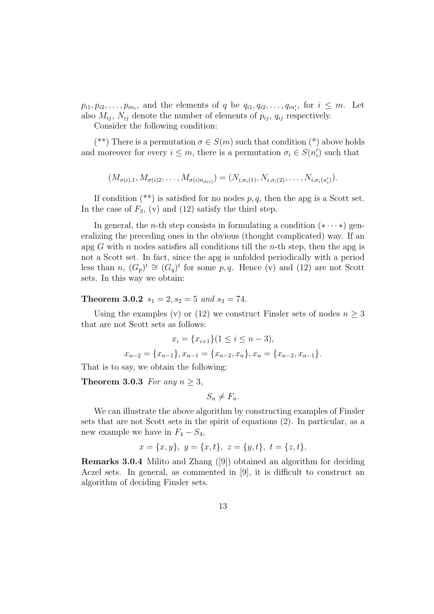$p_{i1}, p_{i2}, \ldots, p_{in_i}$ , and the elements of q be  $q_{i1}, q_{i2}, \ldots, q_{in'_i}$ , for  $i \leq m$ . Let also  $M_{ij}$ ,  $N_{ij}$  denote the number of elements of  $p_{ij}$ ,  $q_{ij}$  respectively.

Consider the following condition:

(\*\*) There is a permutation  $\sigma \in S(m)$  such that condition (\*) above holds and moreover for every  $i \leq m$ , there is a permutation  $\sigma_i \in S(n'_i)$  such that

$$
(M_{\sigma(i),1}, M_{\sigma(i)2}, \ldots, M_{\sigma(i)n_{\sigma(i)}}) = (N_{i,\sigma_i(1)}, N_{i,\sigma_i(2)}, \ldots, N_{i,\sigma_i(n'_i)}).
$$

If condition  $(**)$  is satisfied for no nodes  $p, q$ , then the apg is a Scott set. In the case of  $F_3$ , (v) and (12) satisfy the third step.

In general, the *n*-th step consists in formulating a condition  $(* \cdots *)$  generalizing the preceding ones in the obvious (thought complicated) way. If an apg G with n nodes satisfies all conditions till the n-th step, then the apg is not a Scott set. In fact, since the apg is unfolded periodically with a period less than n,  $(G_p)^t \cong (G_q)^t$  for some p, q. Hence (v) and (12) are not Scott sets. In this way we obtain:

### **Theorem 3.0.2**  $s_1 = 2$ ,  $s_2 = 5$  and  $s_3 = 74$ .

Using the examples (v) or (12) we construct Finsler sets of nodes  $n \geq 3$ that are not Scott sets as follows:

$$
x_i = \{x_{i+1}\} (1 \le i \le n-3),
$$
  

$$
x_{n-2} = \{x_{n-1}\}, x_{n-1} = \{x_{n-2}, x_n\}, x_n = \{x_{n-2}, x_{n-1}\}.
$$

That is to say, we obtain the following:

Theorem 3.0.3 For any  $n \geq 3$ ,

$$
S_n \neq F_n.
$$

We can illustrate the above algorithm by constructing examples of Finsler sets that are not Scott sets in the spirit of equations (2). In particular, as a new example we have in  $F_4 - S_4$ ,

$$
x = \{x, y\}, \ y = \{x, t\}, \ z = \{y, t\}, \ t = \{z, t\}.
$$

Remarks 3.0.4 Milito and Zhang ([9]) obtained an algorithm for deciding Aczel sets. In general, as commented in [9], it is difficult to construct an algorithm of deciding Finsler sets.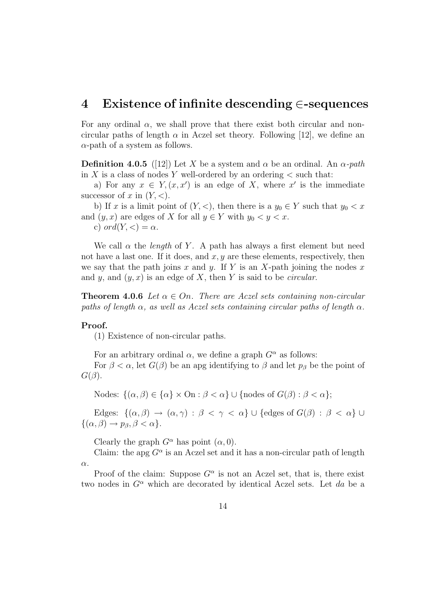# 4 Existence of infinite descending ∈-sequences

For any ordinal  $\alpha$ , we shall prove that there exist both circular and noncircular paths of length  $\alpha$  in Aczel set theory. Following [12], we define an  $\alpha$ -path of a system as follows.

**Definition 4.0.5** ([12]) Let X be a system and  $\alpha$  be an ordinal. An  $\alpha$ -path in X is a class of nodes Y well-ordered by an ordering  $\lt$  such that:

a) For any  $x \in Y$ ,  $(x, x')$  is an edge of X, where x' is the immediate successor of x in  $(Y, \leq)$ .

b) If x is a limit point of  $(Y, \le)$ , then there is a  $y_0 \in Y$  such that  $y_0 \le x$ and  $(y, x)$  are edges of X for all  $y \in Y$  with  $y_0 < y < x$ .

c) ord $(Y, \leq) = \alpha$ .

We call  $\alpha$  the *length* of Y. A path has always a first element but need not have a last one. If it does, and  $x, y$  are these elements, respectively, then we say that the path joins x and y. If Y is an X-path joining the nodes x and y, and  $(y, x)$  is an edge of X, then Y is said to be *circular*.

**Theorem 4.0.6** Let  $\alpha \in On$ . There are Aczel sets containing non-circular paths of length  $\alpha$ , as well as Aczel sets containing circular paths of length  $\alpha$ .

### Proof.

(1) Existence of non-circular paths.

For an arbitrary ordinal  $\alpha$ , we define a graph  $G^{\alpha}$  as follows:

For  $\beta < \alpha$ , let  $G(\beta)$  be an apg identifying to  $\beta$  and let  $p_{\beta}$  be the point of  $G(\beta)$ .

Nodes:  $\{(\alpha, \beta) \in \{\alpha\} \times \text{On} : \beta < \alpha\} \cup \{\text{nodes of } G(\beta) : \beta < \alpha\};$ 

Edges:  $\{(\alpha,\beta) \to (\alpha,\gamma) : \beta < \gamma < \alpha\} \cup \{\text{edges of } G(\beta) : \beta < \alpha\} \cup$  $\{(\alpha, \beta) \rightarrow p_{\beta}, \beta < \alpha\}.$ 

Clearly the graph  $G^{\alpha}$  has point  $(\alpha, 0)$ .

Claim: the apg  $G^{\alpha}$  is an Aczel set and it has a non-circular path of length α.

Proof of the claim: Suppose  $G^{\alpha}$  is not an Aczel set, that is, there exist two nodes in  $G^{\alpha}$  which are decorated by identical Aczel sets. Let da be a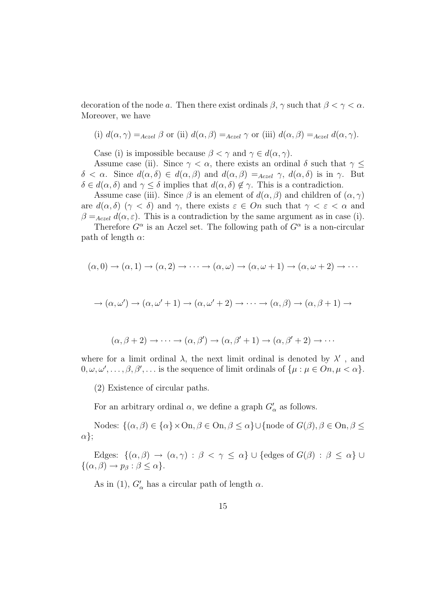decoration of the node a. Then there exist ordinals  $\beta$ ,  $\gamma$  such that  $\beta < \gamma < \alpha$ . Moreover, we have

(i) 
$$
d(\alpha, \gamma) =_{Aczel} \beta
$$
 or (ii)  $d(\alpha, \beta) =_{Aczel} \gamma$  or (iii)  $d(\alpha, \beta) =_{Aczel} d(\alpha, \gamma)$ .

Case (i) is impossible because  $\beta < \gamma$  and  $\gamma \in d(\alpha, \gamma)$ .

Assume case (ii). Since  $\gamma < \alpha$ , there exists an ordinal  $\delta$  such that  $\gamma \leq$  $\delta < \alpha$ . Since  $d(\alpha, \delta) \in d(\alpha, \beta)$  and  $d(\alpha, \beta) =_{Aczel} \gamma$ ,  $d(\alpha, \delta)$  is in  $\gamma$ . But  $\delta \in d(\alpha, \delta)$  and  $\gamma \leq \delta$  implies that  $d(\alpha, \delta) \notin \gamma$ . This is a contradiction.

Assume case (iii). Since  $\beta$  is an element of  $d(\alpha, \beta)$  and children of  $(\alpha, \gamma)$ are  $d(\alpha, \delta)$  ( $\gamma < \delta$ ) and  $\gamma$ , there exists  $\varepsilon \in On$  such that  $\gamma < \varepsilon < \alpha$  and  $\beta =_{Aczel} d(\alpha, \varepsilon)$ . This is a contradiction by the same argument as in case (i).

Therefore  $G^{\alpha}$  is an Aczel set. The following path of  $G^{\alpha}$  is a non-circular path of length  $\alpha$ :

$$
(\alpha,0)\rightarrow(\alpha,1)\rightarrow(\alpha,2)\rightarrow\cdots\rightarrow(\alpha,\omega)\rightarrow(\alpha,\omega+1)\rightarrow(\alpha,\omega+2)\rightarrow\cdots
$$

$$
\rightarrow (\alpha, \omega') \rightarrow (\alpha, \omega' + 1) \rightarrow (\alpha, \omega' + 2) \rightarrow \cdots \rightarrow (\alpha, \beta) \rightarrow (\alpha, \beta + 1) \rightarrow
$$

$$
(\alpha, \beta + 2) \rightarrow \cdots \rightarrow (\alpha, \beta') \rightarrow (\alpha, \beta' + 1) \rightarrow (\alpha, \beta' + 2) \rightarrow \cdots
$$

where for a limit ordinal  $\lambda$ , the next limit ordinal is denoted by  $\lambda'$ , and  $0, \omega, \omega', \ldots, \beta, \beta', \ldots$  is the sequence of limit ordinals of  $\{\mu : \mu \in On, \mu < \alpha\}.$ 

(2) Existence of circular paths.

For an arbitrary ordinal  $\alpha$ , we define a graph  $G'_{\alpha}$  as follows.

Nodes:  $\{(\alpha, \beta) \in {\alpha} \times On, \beta \in On, \beta \leq \alpha\} \cup \{\text{node of } G(\beta), \beta \in On, \beta \leq \alpha\}$ α};

Edges:  $\{(\alpha,\beta) \to (\alpha,\gamma) : \beta < \gamma \leq \alpha\} \cup \{\text{edges of } G(\beta) : \beta \leq \alpha\} \cup$  $\{(\alpha, \beta) \rightarrow p_{\beta} : \beta \leq \alpha\}.$ 

As in (1),  $G'_{\alpha}$  has a circular path of length  $\alpha$ .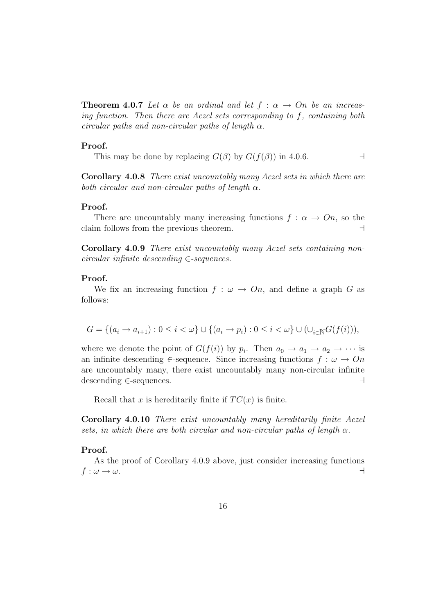**Theorem 4.0.7** Let  $\alpha$  be an ordinal and let  $f : \alpha \rightarrow On$  be an increasing function. Then there are Aczel sets corresponding to f, containing both circular paths and non-circular paths of length  $\alpha$ .

#### Proof.

This may be done by replacing  $G(\beta)$  by  $G(f(\beta))$  in 4.0.6.

Corollary 4.0.8 There exist uncountably many Aczel sets in which there are both circular and non-circular paths of length  $\alpha$ .

### Proof.

There are uncountably many increasing functions  $f : \alpha \to On$ , so the claim follows from the previous theorem.  $\Box$ 

Corollary 4.0.9 There exist uncountably many Aczel sets containing noncircular infinite descending ∈-sequences.

#### Proof.

We fix an increasing function  $f : \omega \to On$ , and define a graph G as follows:

$$
G = \{(a_i \to a_{i+1}) : 0 \le i < \omega\} \cup \{(a_i \to p_i) : 0 \le i < \omega\} \cup (\cup_{i \in \mathbb{N}} G(f(i))),
$$

where we denote the point of  $G(f(i))$  by  $p_i$ . Then  $a_0 \to a_1 \to a_2 \to \cdots$  is an infinite descending ∈-sequence. Since increasing functions  $f : \omega \to On$ are uncountably many, there exist uncountably many non-circular infinite descending ∈-sequences.  $\Box$ 

Recall that x is hereditarily finite if  $TC(x)$  is finite.

Corollary 4.0.10 There exist uncountably many hereditarily finite Aczel sets, in which there are both circular and non-circular paths of length  $\alpha$ .

### Proof.

As the proof of Corollary 4.0.9 above, just consider increasing functions  $f: \omega \rightarrow \omega.$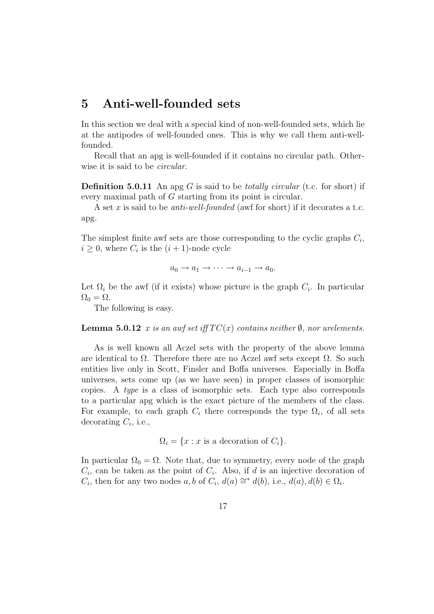# 5 Anti-well-founded sets

In this section we deal with a special kind of non-well-founded sets, which lie at the antipodes of well-founded ones. This is why we call them anti-wellfounded.

Recall that an apg is well-founded if it contains no circular path. Otherwise it is said to be *circular*.

**Definition 5.0.11** An apg G is said to be *totally circular* (t.c. for short) if every maximal path of G starting from its point is circular.

A set x is said to be *anti-well-founded* (awf for short) if it decorates a t.c. apg.

The simplest finite awf sets are those corresponding to the cyclic graphs  $C_i$ ,  $i \geq 0$ , where  $C_i$  is the  $(i + 1)$ -node cycle

 $a_0 \rightarrow a_1 \rightarrow \cdots \rightarrow a_{i-1} \rightarrow a_0.$ 

Let  $\Omega_i$  be the awf (if it exists) whose picture is the graph  $C_i$ . In particular  $\Omega_0 = \Omega$ .

The following is easy.

**Lemma 5.0.12** x is an awf set iff  $TC(x)$  contains neither  $\emptyset$ , nor urelements.

As is well known all Aczel sets with the property of the above lemma are identical to  $\Omega$ . Therefore there are no Aczel awf sets except  $\Omega$ . So such entities live only in Scott, Finsler and Boffa universes. Especially in Boffa universes, sets come up (as we have seen) in proper classes of isomorphic copies. A type is a class of isomorphic sets. Each type also corresponds to a particular apg which is the exact picture of the members of the class. For example, to each graph  $C_i$  there corresponds the type  $\Omega_i$ , of all sets decorating  $C_i$ , i.e.,

$$
\Omega_i = \{x : x \text{ is a decoration of } C_i\}.
$$

In particular  $\Omega_0 = \Omega$ . Note that, due to symmetry, every node of the graph  $C_i$ , can be taken as the point of  $C_i$ . Also, if d is an injective decoration of  $C_i$ , then for any two nodes a, b of  $C_i$ ,  $d(a) \cong^* d(b)$ , i.e.,  $d(a)$ ,  $d(b) \in \Omega_i$ .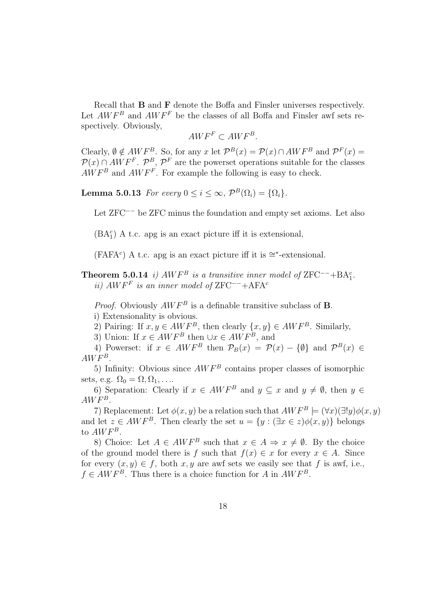Recall that B and F denote the Boffa and Finsler universes respectively. Let  $AWF^B$  and  $AWF^F$  be the classes of all Boffa and Finsler awf sets respectively. Obviously,

$$
AWF^F \subset AWF^B.
$$

Clearly,  $\emptyset \notin AWF^B$ . So, for any x let  $\mathcal{P}^B(x) = \mathcal{P}(x) \cap AWF^B$  and  $\mathcal{P}^F(x) =$  $\mathcal{P}(x) \cap AWF^F$ .  $\mathcal{P}^B$ ,  $\mathcal{P}^F$  are the powerset operations suitable for the classes  $AWF^B$  and  $AWF^F$ . For example the following is easy to check.

**Lemma 5.0.13** For every  $0 \leq i \leq \infty$ ,  $\mathcal{P}^B(\Omega_i) = {\Omega_i}.$ 

Let ZFC−− be ZFC minus the foundation and empty set axioms. Let also

 $(BA_1^c)$  A t.c. apg is an exact picture iff it is extensional,

(FAFA<sup>c</sup>) A t.c. apg is an exact picture iff it is  $\cong^*$ -extensional.

**Theorem 5.0.14** i)  $AWF^B$  is a transitive inner model of ZFC<sup>--</sup>+BA<sup>c</sup><sub>1</sub>. ii)  $AWF<sup>F</sup>$  is an inner model of ZFC<sup>--</sup>+AFA<sup>c</sup>

*Proof.* Obviously  $AWF^B$  is a definable transitive subclass of **B**. i) Extensionality is obvious.

2) Pairing: If  $x, y \in AWF^B$ , then clearly  $\{x, y\} \in AWF^B$ . Similarly,

3) Union: If  $x \in AWF^B$  then  $\cup x \in AWF^B$ , and

4) Powerset: if  $x \in AWF^B$  then  $\mathcal{P}_B(x) = \mathcal{P}(x) - \{\emptyset\}$  and  $\mathcal{P}^B(x) \in$  $AWF^B$ .

5) Infinity: Obvious since  $AWF^B$  contains proper classes of isomorphic sets, e.g.  $\Omega_0 = \Omega, \Omega_1, \ldots$ .

6) Separation: Clearly if  $x \in AWF^B$  and  $y \subseteq x$  and  $y \neq \emptyset$ , then  $y \in \mathbb{R}$  $AWF^B$ .

7) Replacement: Let  $\phi(x, y)$  be a relation such that  $AWF^B \models (\forall x)(\exists ! y)\phi(x, y)$ and let  $z \in AWF^B$ . Then clearly the set  $u = \{y : (\exists x \in z) \phi(x, y)\}\)$  belongs to  $AWF^B$ .

8) Choice: Let  $A \in AWF^B$  such that  $x \in A \Rightarrow x \neq \emptyset$ . By the choice of the ground model there is f such that  $f(x) \in x$  for every  $x \in A$ . Since for every  $(x, y) \in f$ , both x, y are awf sets we easily see that f is awf, i.e.,  $f \in AWF^B$ . Thus there is a choice function for A in  $AWF^B$ .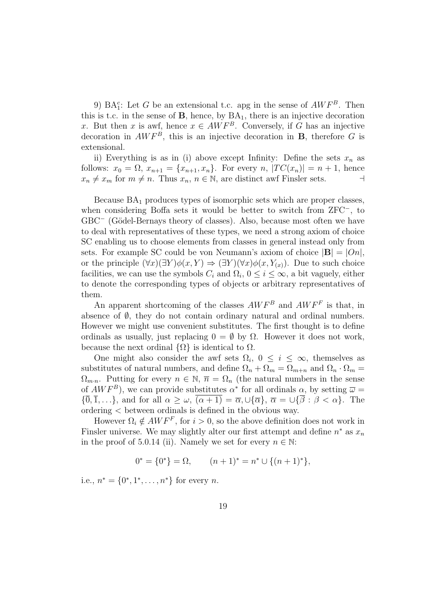9)  $BA_1^c$ : Let G be an extensional t.c. apg in the sense of  $AWF^B$ . Then this is t.c. in the sense of  $B$ , hence, by  $BA<sub>1</sub>$ , there is an injective decoration x. But then x is awf, hence  $x \in AWF^B$ . Conversely, if G has an injective decoration in  $AWF^B$ , this is an injective decoration in **B**, therefore G is extensional.

ii) Everything is as in (i) above except Infinity: Define the sets  $x_n$  as follows:  $x_0 = \Omega$ ,  $x_{n+1} = \{x_{n+1}, x_n\}$ . For every  $n$ ,  $|TC(x_n)| = n+1$ , hence  $x_n \neq x_m$  for  $m \neq n$ . Thus  $x_n, n \in \mathbb{N}$ , are distinct awf Finsler sets.

Because  $BA<sub>1</sub>$  produces types of isomorphic sets which are proper classes, when considering Boffa sets it would be better to switch from ZFC<sup>−</sup>, to GBC<sup>−</sup> (Gödel-Bernays theory of classes). Also, because most often we have to deal with representatives of these types, we need a strong axiom of choice SC enabling us to choose elements from classes in general instead only from sets. For example SC could be von Neumann's axiom of choice  $|\mathbf{B}| = |On|$ , or the principle  $(\forall x)(\exists Y)\phi(x,Y) \Rightarrow (\exists Y)(\forall x)\phi(x,Y_{(x)})$ . Due to such choice facilities, we can use the symbols  $C_i$  and  $\Omega_i$ ,  $0 \leq i \leq \infty$ , a bit vaguely, either to denote the corresponding types of objects or arbitrary representatives of them.

An apparent shortcoming of the classes  $AWF^B$  and  $AWF^F$  is that, in absence of  $\emptyset$ , they do not contain ordinary natural and ordinal numbers. However we might use convenient substitutes. The first thought is to define ordinals as usually, just replacing  $0 = \emptyset$  by  $\Omega$ . However it does not work, because the next ordinal  $\{\Omega\}$  is identical to  $\Omega$ .

One might also consider the awf sets  $\Omega_i$ ,  $0 \leq i \leq \infty$ , themselves as substitutes of natural numbers, and define  $\Omega_n + \Omega_m = \Omega_{m+n}$  and  $\Omega_n \cdot \Omega_m =$  $\Omega_{m,n}$ . Putting for every  $n \in \mathbb{N}$ ,  $\overline{n} = \Omega_n$  (the natural numbers in the sense of  $AWF^B$ , we can provide substitutes  $\alpha^*$  for all ordinals  $\alpha$ , by setting  $\overline{\omega} =$  ${\overline{0}, \overline{1}, \ldots}$ , and for all  $\alpha \geq \omega$ ,  $\overline{(\alpha+1)} = \overline{\alpha}$ ,  $\cup {\overline{\alpha}}$ ,  $\overline{\alpha} = \cup {\overline{\beta}} : \beta < \alpha$ . The ordering < between ordinals is defined in the obvious way.

However  $\Omega_i \notin AWF^F$ , for  $i > 0$ , so the above definition does not work in Finsler universe. We may slightly alter our first attempt and define  $n^*$  as  $x_n$ in the proof of 5.0.14 (ii). Namely we set for every  $n \in \mathbb{N}$ :

$$
0^* = \{0^*\} = \Omega, \qquad (n+1)^* = n^* \cup \{(n+1)^*\},
$$

i.e.,  $n^* = \{0^*, 1^*, \dots, n^*\}$  for every *n*.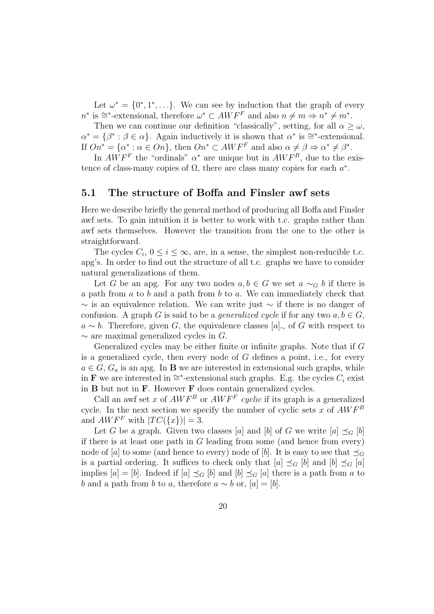Let  $\omega^* = \{0^*, 1^*, \ldots\}$ . We can see by induction that the graph of every  $n^*$  is  $\cong^*$ -extensional, therefore  $\omega^* \subset AWF^F$  and also  $n \neq m \Rightarrow n^* \neq m^*$ .

Then we can continue our definition "classically", setting, for all  $\alpha \geq \omega$ ,  $\alpha^* = \{\beta^* : \beta \in \alpha\}.$  Again inductively it is shown that  $\alpha^*$  is  $\cong^*$ -extensional. If  $On^* = {\alpha^* : \alpha \in On}$ , then  $On^* \subset AMF^F$  and also  $\alpha \neq \beta \Rightarrow \alpha^* \neq \beta^*$ .

In  $AWF^F$  the "ordinals"  $\alpha^*$  are unique but in  $AWF^B$ , due to the existence of class-many copies of  $\Omega$ , there are class many copies for each  $a^*$ .

### 5.1 The structure of Boffa and Finsler awf sets

Here we describe briefly the general method of producing all Boffa and Finsler awf sets. To gain intuition it is better to work with t.c. graphs rather than awf sets themselves. However the transition from the one to the other is straightforward.

The cycles  $C_i$ ,  $0 \le i \le \infty$ , are, in a sense, the simplest non-reducible t.c. apg's. In order to find out the structure of all t.c. graphs we have to consider natural generalizations of them.

Let G be an apg. For any two nodes  $a, b \in G$  we set  $a \sim_G b$  if there is a path from  $a$  to  $b$  and a path from  $b$  to  $a$ . We can immediately check that  $\sim$  is an equivalence relation. We can write just  $\sim$  if there is no danger of confusion. A graph G is said to be a *generalized cycle* if for any two  $a, b \in G$ ,  $a \sim b$ . Therefore, given G, the equivalence classes  $[a]_{\sim}$  of G with respect to  $\sim$  are maximal generalized cycles in G.

Generalized cycles may be either finite or infinite graphs. Note that if G is a generalized cycle, then every node of  $G$  defines a point, i.e., for every  $a \in G$ ,  $G_a$  is an apg. In **B** we are interested in extensional such graphs, while in **F** we are interested in ≅<sup>\*</sup>-extensional such graphs. E.g. the cycles  $C_i$  exist in B but not in F. However F does contain generalized cycles.

Call an awf set x of  $AWF^B$  or  $AWF^F$  cyclic if its graph is a generalized cycle. In the next section we specify the number of cyclic sets  $x$  of  $AWF^B$ and  $AWF^F$  with  $|TC(\lbrace x \rbrace)| = 3$ .

Let G be a graph. Given two classes [a] and [b] of G we write  $[a] \preceq_G [b]$ if there is at least one path in G leading from some (and hence from every) node of [a] to some (and hence to every) node of [b]. It is easy to see that  $\preceq_G$ is a partial ordering. It suffices to check only that  $[a] \preceq_G [b]$  and  $[b] \preceq_G [a]$ implies  $[a] = [b]$ . Indeed if  $[a] \preceq_G [b]$  and  $[b] \preceq_G [a]$  there is a path from a to b and a path from b to a, therefore  $a \sim b$  or,  $[a] = [b]$ .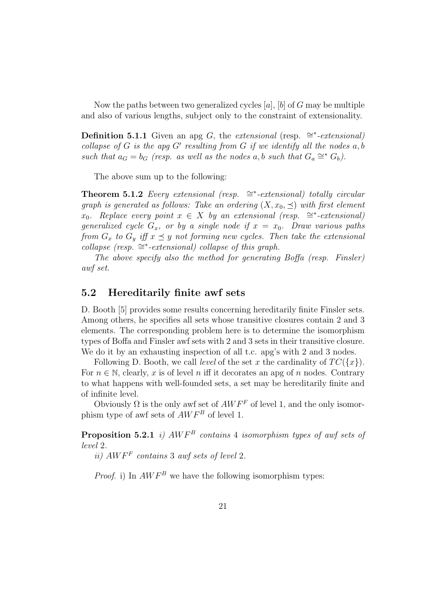Now the paths between two generalized cycles  $[a]$ ,  $[b]$  of G may be multiple and also of various lengths, subject only to the constraint of extensionality.

**Definition 5.1.1** Given an apg G, the extensional (resp.  $\cong$ \*-extensional) collapse of G is the apg  $G'$  resulting from G if we identify all the nodes  $a, b$ such that  $a_G = b_G$  (resp. as well as the nodes a, b such that  $G_a \cong^* G_b$ ).

The above sum up to the following:

Theorem 5.1.2 Every extensional (resp.  $\cong$ \*-extensional) totally circular graph is generated as follows: Take an ordering  $(X, x_0, \preceq)$  with first element  $x_0$ . Replace every point  $x \in X$  by an extensional (resp. ≅\*-extensional) generalized cycle  $G_x$ , or by a single node if  $x = x_0$ . Draw various paths from  $G_x$  to  $G_y$  iff  $x \preceq y$  not forming new cycles. Then take the extensional  $\text{collapse (resp.} \cong^*-\text{extensional})$  collapse of this graph.

The above specify also the method for generating Boffa (resp. Finsler) awf set.

# 5.2 Hereditarily finite awf sets

D. Booth [5] provides some results concerning hereditarily finite Finsler sets. Among others, he specifies all sets whose transitive closures contain 2 and 3 elements. The corresponding problem here is to determine the isomorphism types of Boffa and Finsler awf sets with 2 and 3 sets in their transitive closure. We do it by an exhausting inspection of all t.c. apg's with 2 and 3 nodes.

Following D. Booth, we call *level* of the set x the cardinality of  $TC({x})$ . For  $n \in \mathbb{N}$ , clearly, x is of level n iff it decorates an apg of n nodes. Contrary to what happens with well-founded sets, a set may be hereditarily finite and of infinite level.

Obviously  $\Omega$  is the only awf set of  $AWF^F$  of level 1, and the only isomorphism type of awf sets of  $AWF^B$  of level 1.

**Proposition 5.2.1** i)  $AWF^B$  contains 4 isomorphism types of awf sets of level 2.

ii)  $AWF<sup>F</sup>$  contains 3 awf sets of level 2.

*Proof.* i) In  $AWF^B$  we have the following isomorphism types: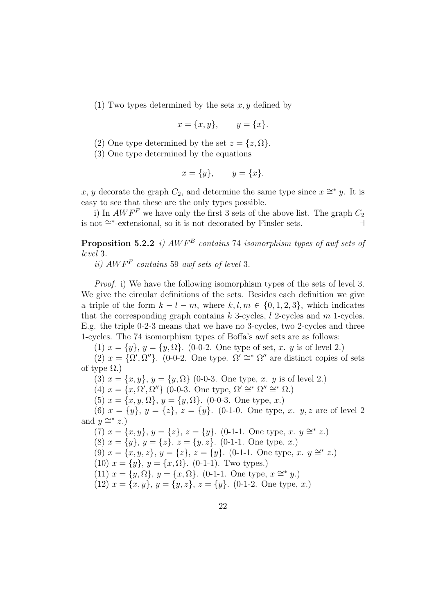(1) Two types determined by the sets  $x, y$  defined by

$$
x = \{x, y\}, \qquad y = \{x\}.
$$

(2) One type determined by the set  $z = \{z, \Omega\}.$ 

(3) One type determined by the equations

$$
x = \{y\}, \qquad y = \{x\}.
$$

x, y decorate the graph  $C_2$ , and determine the same type since  $x \cong^* y$ . It is easy to see that these are the only types possible.

i) In  $AWF<sup>F</sup>$  we have only the first 3 sets of the above list. The graph  $C_2$ is not  $\cong$  \*-extensional, so it is not decorated by Finsler sets.  $\Box$ 

**Proposition 5.2.2** i)  $AWF^B$  contains 74 isomorphism types of awf sets of level 3.

ii)  $AWF<sup>F</sup>$  contains 59 awf sets of level 3.

Proof. i) We have the following isomorphism types of the sets of level 3. We give the circular definitions of the sets. Besides each definition we give a triple of the form  $k - l - m$ , where  $k, l, m \in \{0, 1, 2, 3\}$ , which indicates that the corresponding graph contains  $k$  3-cycles,  $l$  2-cycles and  $m$  1-cycles. E.g. the triple 0-2-3 means that we have no 3-cycles, two 2-cycles and three 1-cycles. The 74 isomorphism types of Boffa's awf sets are as follows:

(1)  $x = \{y\}, y = \{y, \Omega\}.$  (0-0-2. One type of set, x. y is of level 2.)

(2)  $x = {\Omega', \Omega''}$ . (0-0-2. One type.  $\Omega' \cong^* \Omega''$  are distinct copies of sets of type  $\Omega$ .)

(3)  $x = \{x, y\}, y = \{y, \Omega\}$  (0-0-3. One type, x. y is of level 2.)

(4)  $x = \{x, \Omega', \Omega''\}$  (0-0-3. One type,  $\Omega' \cong^* \Omega'' \cong^* \Omega$ .)

(5)  $x = \{x, y, \Omega\}, y = \{y, \Omega\}.$  (0-0-3. One type, x.)

(6)  $x = \{y\}, y = \{z\}, z = \{y\}.$  (0-1-0. One type, x. y, z are of level 2) and  $y \cong^* z$ .)

(7)  $x = \{x, y\}, y = \{z\}, z = \{y\}.$  (0-1-1. One type, x.  $y \approx z$ .) (8)  $x = \{y\}, y = \{z\}, z = \{y, z\}.$  (0-1-1. One type, x.) (9)  $x = \{x, y, z\}, y = \{z\}, z = \{y\}.$  (0-1-1. One type, x.  $y \approx z$ .) (10)  $x = \{y\}, y = \{x, \Omega\}.$  (0-1-1). Two types.) (11)  $x = \{y, \Omega\}, y = \{x, \Omega\}.$  (0-1-1. One type,  $x \cong^* y$ .) (12)  $x = \{x, y\}, y = \{y, z\}, z = \{y\}.$  (0-1-2. One type, x.)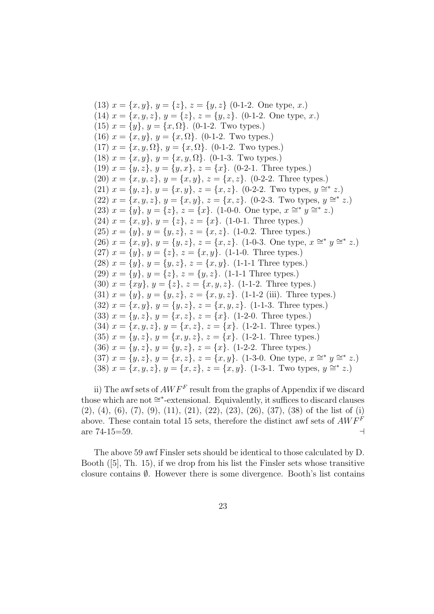(13)  $x = \{x, y\}, y = \{z\}, z = \{y, z\}$  (0-1-2. One type, x.) (14)  $x = \{x, y, z\}, y = \{z\}, z = \{y, z\}.$  (0-1-2. One type, x.) (15)  $x = \{y\}, y = \{x, \Omega\}.$  (0-1-2. Two types.) (16)  $x = \{x, y\}, y = \{x, \Omega\}.$  (0-1-2. Two types.) (17)  $x = \{x, y, \Omega\}, y = \{x, \Omega\}.$  (0-1-2. Two types.) (18)  $x = \{x, y\}, y = \{x, y, \Omega\}.$  (0-1-3. Two types.) (19)  $x = \{y, z\}, y = \{y, x\}, z = \{x\}.$  (0-2-1. Three types.) (20)  $x = \{x, y, z\}, y = \{x, y\}, z = \{x, z\}.$  (0-2-2. Three types.) (21)  $x = \{y, z\}, y = \{x, y\}, z = \{x, z\}.$  (0-2-2. Two types,  $y \approx z$ .)  $(22)$   $x = \{x, y, z\}, y = \{x, y\}, z = \{x, z\}.$  (0-2-3. Two types,  $y \approx z$ ) (23)  $x = \{y\}, y = \{z\}, z = \{x\}.$  (1-0-0. One type,  $x \cong y \cong z$ .) (24)  $x = \{x, y\}, y = \{z\}, z = \{x\}.$  (1-0-1. Three types.) (25)  $x = \{y\}, y = \{y, z\}, z = \{x, z\}.$  (1-0.2. Three types.)  $(26)$   $x = \{x, y\}, y = \{y, z\}, z = \{x, z\}.$  (1-0-3. One type,  $x \approx^* y \approx^* z$ .) (27)  $x = \{y\}, y = \{z\}, z = \{x, y\}.$  (1-1-0. Three types.) (28)  $x = \{y\}, y = \{y, z\}, z = \{x, y\}.$  (1-1-1 Three types.) (29)  $x = \{y\}, y = \{z\}, z = \{y, z\}.$  (1-1-1 Three types.) (30)  $x = \{xy\}, y = \{z\}, z = \{x, y, z\}.$  (1-1-2. Three types.) (31)  $x = \{y\}, y = \{y, z\}, z = \{x, y, z\}.$  (1-1-2 (iii). Three types.) (32)  $x = \{x, y\}, y = \{y, z\}, z = \{x, y, z\}.$  (1-1-3. Three types.) (33)  $x = \{y, z\}, y = \{x, z\}, z = \{x\}.$  (1-2-0. Three types.) (34)  $x = \{x, y, z\}, y = \{x, z\}, z = \{x\}.$  (1-2-1. Three types.) (35)  $x = \{y, z\}, y = \{x, y, z\}, z = \{x\}.$  (1-2-1. Three types.) (36)  $x = \{y, z\}, y = \{y, z\}, z = \{x\}.$  (1-2-2. Three types.)  $(37)$   $x = \{y, z\}, y = \{x, z\}, z = \{x, y\}.$  (1-3-0. One type,  $x \approx^* y \approx^* z$ .) (38)  $x = \{x, y, z\}, y = \{x, z\}, z = \{x, y\}.$  (1-3-1. Two types,  $y \approx z$ .)

ii) The awf sets of  $AWF^F$  result from the graphs of Appendix if we discard those which are not ∼= ∗ -extensional. Equivalently, it suffices to discard clauses (2), (4), (6), (7), (9), (11), (21), (22), (23), (26), (37), (38) of the list of (i) above. These contain total 15 sets, therefore the distinct awf sets of  $AWF^F$ are  $74-15=59$ .

The above 59 awf Finsler sets should be identical to those calculated by D. Booth ([5], Th. 15), if we drop from his list the Finsler sets whose transitive closure contains  $\emptyset$ . However there is some divergence. Booth's list contains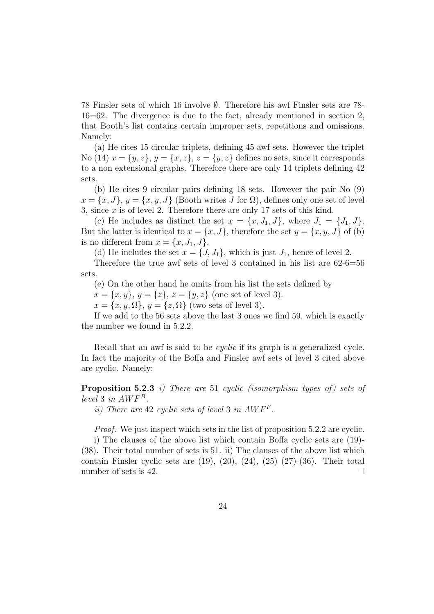78 Finsler sets of which 16 involve ∅. Therefore his awf Finsler sets are 78- 16=62. The divergence is due to the fact, already mentioned in section 2, that Booth's list contains certain improper sets, repetitions and omissions. Namely:

(a) He cites 15 circular triplets, defining 45 awf sets. However the triplet No (14)  $x = \{y, z\}$ ,  $y = \{x, z\}$ ,  $z = \{y, z\}$  defines no sets, since it corresponds to a non extensional graphs. Therefore there are only 14 triplets defining 42 sets.

(b) He cites 9 circular pairs defining 18 sets. However the pair No (9)  $x = \{x, J\}, y = \{x, y, J\}$  (Booth writes J for  $\Omega$ ), defines only one set of level 3, since  $x$  is of level 2. Therefore there are only 17 sets of this kind.

(c) He includes as distinct the set  $x = \{x, J_1, J\}$ , where  $J_1 = \{J_1, J\}$ . But the latter is identical to  $x = \{x, J\}$ , therefore the set  $y = \{x, y, J\}$  of (b) is no different from  $x = \{x, J_1, J\}.$ 

(d) He includes the set  $x = \{J, J_1\}$ , which is just  $J_1$ , hence of level 2.

Therefore the true awf sets of level 3 contained in his list are 62-6=56 sets.

(e) On the other hand he omits from his list the sets defined by

 $x = \{x, y\}, y = \{z\}, z = \{y, z\}$  (one set of level 3).

 $x = \{x, y, \Omega\}, y = \{z, \Omega\}$  (two sets of level 3).

If we add to the 56 sets above the last 3 ones we find 59, which is exactly the number we found in 5.2.2.

Recall that an awf is said to be cyclic if its graph is a generalized cycle. In fact the majority of the Boffa and Finsler awf sets of level 3 cited above are cyclic. Namely:

**Proposition 5.2.3** i) There are 51 cyclic (isomorphism types of) sets of level 3 in  $AWF^B$ .

ii) There are 42 cyclic sets of level 3 in  $AWF<sup>F</sup>$ .

Proof. We just inspect which sets in the list of proposition 5.2.2 are cyclic.

i) The clauses of the above list which contain Boffa cyclic sets are (19)- (38). Their total number of sets is 51. ii) The clauses of the above list which contain Finsler cyclic sets are  $(19)$ ,  $(20)$ ,  $(24)$ ,  $(25)$   $(27)-(36)$ . Their total number of sets is 42.  $\Box$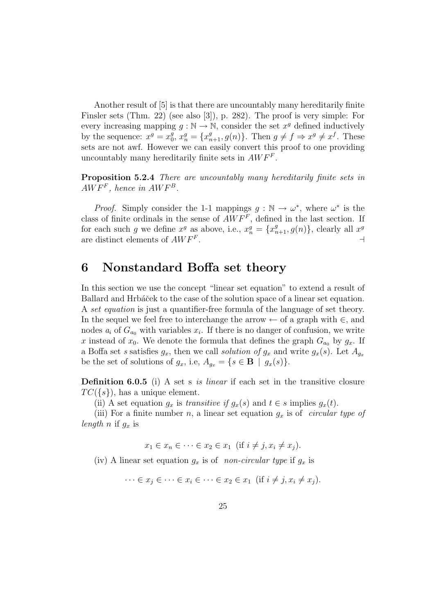Another result of [5] is that there are uncountably many hereditarily finite Finsler sets (Thm. 22) (see also [3]), p. 282). The proof is very simple: For every increasing mapping  $g : \mathbb{N} \to \mathbb{N}$ , consider the set  $x^g$  defined inductively by the sequence:  $x^g = x_0^g$  $g_0^g$ ,  $x_n^g = \{x_{n+1}^g, g(n)\}\$ . Then  $g \neq f \Rightarrow x^g \neq x^f$ . These sets are not awf. However we can easily convert this proof to one providing uncountably many hereditarily finite sets in  $AWF<sup>F</sup>$ .

Proposition 5.2.4 There are uncountably many hereditarily finite sets in  $AWF<sup>F</sup>$ , hence in  $AWF<sup>B</sup>$ .

*Proof.* Simply consider the 1-1 mappings  $g : \mathbb{N} \to \omega^*$ , where  $\omega^*$  is the class of finite ordinals in the sense of  $AWF<sup>F</sup>$ , defined in the last section. If for each such g we define  $x^g$  as above, i.e.,  $x_n^g = \{x_{n+1}^g, g(n)\}\,$  clearly all  $x^g$ are distinct elements of  $AWF<sup>F</sup>$ . . A contract the contract of the contract of the contract of the contract of the contract of the contract of t

# 6 Nonstandard Boffa set theory

In this section we use the concept "linear set equation" to extend a result of Ballard and Hrbáček to the case of the solution space of a linear set equation. A set equation is just a quantifier-free formula of the language of set theory. In the sequel we feel free to interchange the arrow  $\leftarrow$  of a graph with  $\in$ , and nodes  $a_i$  of  $G_{a_0}$  with variables  $x_i$ . If there is no danger of confusion, we write x instead of  $x_0$ . We denote the formula that defines the graph  $G_{a_0}$  by  $g_x$ . If a Boffa set s satisfies  $g_x$ , then we call solution of  $g_x$  and write  $g_x(s)$ . Let  $A_{g_x}$ be the set of solutions of  $g_x$ , i.e,  $A_{g_x} = \{s \in \mathbf{B} \mid g_x(s)\}.$ 

Definition 6.0.5 (i) A set s is linear if each set in the transitive closure  $TC({s})$ , has a unique element.

(ii) A set equation  $g_x$  is transitive if  $g_x(s)$  and  $t \in s$  implies  $g_x(t)$ .

(iii) For a finite number n, a linear set equation  $g_x$  is of *circular type of* length n if  $g_x$  is

 $x_1 \in x_n \in \cdots \in x_2 \in x_1$  (if  $i \neq j, x_i \neq x_j$ ).

(iv) A linear set equation  $g_x$  is of non-circular type if  $g_x$  is

$$
\cdots \in x_j \in \cdots \in x_i \in \cdots \in x_2 \in x_1 \text{ (if } i \neq j, x_i \neq x_j).
$$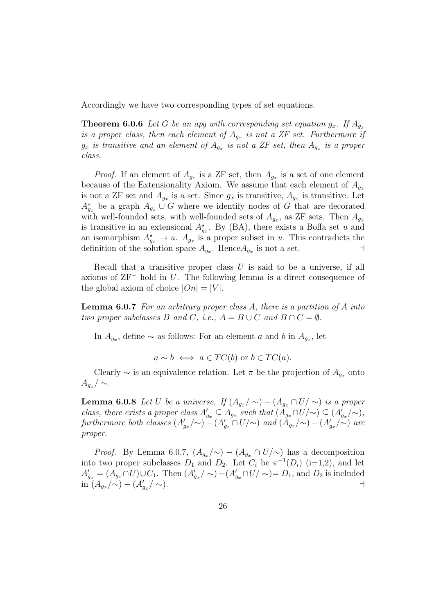Accordingly we have two corresponding types of set equations.

**Theorem 6.0.6** Let G be an apg with corresponding set equation  $g_x$ . If  $A_{g_x}$ is a proper class, then each element of  $A_{g_x}$  is not a ZF set. Furthermore if  $g_x$  is transitive and an element of  $A_{g_x}$  is not a ZF set, then  $A_{g_x}$  is a proper class.

*Proof.* If an element of  $A_{g_x}$  is a ZF set, then  $A_{g_x}$  is a set of one element because of the Extensionality Axiom. We assume that each element of  $A_{q_x}$ is not a ZF set and  $A_{g_x}$  is a set. Since  $g_x$  is transitive,  $A_{g_x}$  is transitive. Let  $A_{g_x}^{\star}$  be a graph  $A_{g_x} \cup G$  where we identify nodes of G that are decorated with well-founded sets, with well-founded sets of  $A_{g_x}$ , as ZF sets. Then  $A_{g_x}$ is transitive in an extensional  $A_{g_x}^*$ . By (BA), there exists a Boffa set u and an isomorphism  $A_{g_x}^* \to u$ .  $A_{g_x}$  is a proper subset in u. This contradicts the definition of the solution space  $A_{g_x}$ . Hence  $A_{g_x}$  is not a set.

Recall that a transitive proper class  $U$  is said to be a universe, if all axioms of ZF<sup>−</sup> hold in U. The following lemma is a direct consequence of the global axiom of choice  $|On| = |V|$ .

**Lemma 6.0.7** For an arbitrary proper class  $A$ , there is a partition of  $A$  into two proper subclasses B and C, i.e.,  $A = B \cup C$  and  $B \cap C = \emptyset$ .

In  $A_{g_x}$ , define  $\sim$  as follows: For an element a and b in  $A_{g_x}$ , let

$$
a \sim b \iff a \in TC(b)
$$
 or  $b \in TC(a)$ .

Clearly  $\sim$  is an equivalence relation. Let  $\pi$  be the projection of  $A_{q_x}$  onto  $A_{q_x}/\sim$ .

**Lemma 6.0.8** Let U be a universe. If  $(A_{a_r}/\sim) - (A_{a_r} \cap U/\sim)$  is a proper class, there exists a proper class  $A'_{g_x} \subseteq A_{g_x}$  such that  $(A_{g_x} \cap U/\sim) \subseteq (A'_{g_x}/\sim)$ , furthermore both classes  $(A'_{g_x}/\sim) - (A'_{g_x} \cap U/\sim)$  and  $(A_{g_x}/\sim) - (A'_{g_x}/\sim)$  are proper.

*Proof.* By Lemma 6.0.7,  $(A_{q_x}/\sim) - (A_{q_x} \cap U/\sim)$  has a decomposition into two proper subclasses  $D_1$  and  $D_2$ . Let  $C_i$  be  $\pi^{-1}(D_i)$  (i=1,2), and let  $A'_{g_x} = (A_{g_x} \cap U) \cup C_1$ . Then  $(A'_{g_x}/\sim) - (A'_{g_x} \cap U/\sim) = D_1$ , and  $D_2$  is included  $\sin (A_{g_x}/\sim) - (A_{g_x}^{\prime})$  $/$  ∼).  $\qquad \qquad \vdots$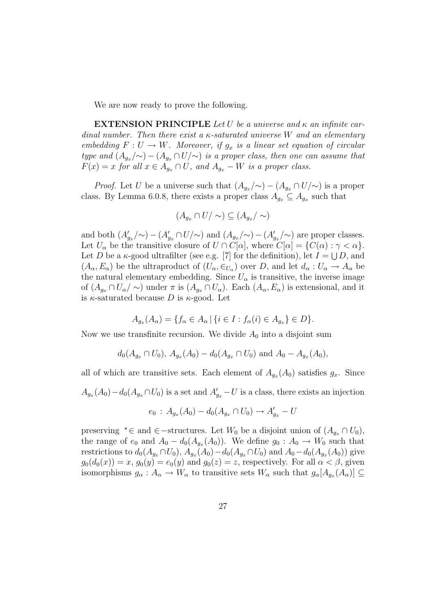We are now ready to prove the following.

**EXTENSION PRINCIPLE** Let U be a universe and  $\kappa$  an infinite cardinal number. Then there exist a  $\kappa$ -saturated universe W and an elementary embedding  $F: U \to W$ . Moreover, if  $g_x$  is a linear set equation of circular type and  $(A_{g_x}/\sim) - (A_{g_x} \cap U/\sim)$  is a proper class, then one can assume that  $F(x) = x$  for all  $x \in A_{g_x} \cap U$ , and  $A_{g_x} - W$  is a proper class.

*Proof.* Let U be a universe such that  $(A_{g_x}/\sim) - (A_{g_x} \cap U/\sim)$  is a proper class. By Lemma 6.0.8, there exists a proper class  $A_{g_x} \subseteq A_{g_x}$  such that

$$
(A_{g_x} \cap U/\sim) \subseteq (A_{g_x}/\sim)
$$

and both  $(A'_{g_x}/\sim) - (A'_{g_x} \cap U/\sim)$  and  $(A_{g_x}/\sim) - (A'_{g_x}/\sim)$  are proper classes. Let  $U_{\alpha}$  be the transitive closure of  $U \cap C[\alpha]$ , where  $C[\alpha] = \{C(\alpha) : \gamma < \alpha\}.$ Let D be a  $\kappa$ -good ultrafilter (see e.g. [7] for the definition), let  $I = \bigcup D$ , and  $(A_{\alpha}, E_{\alpha})$  be the ultraproduct of  $(U_{\alpha}, \epsilon_{U_{\alpha}})$  over D, and let  $d_{\alpha}: U_{\alpha} \to A_{\alpha}$  be the natural elementary embedding. Since  $U_{\alpha}$  is transitive, the inverse image of  $(A_{g_x} \cap U_{\alpha}/\sim)$  under  $\pi$  is  $(A_{g_x} \cap U_{\alpha})$ . Each  $(A_{\alpha}, E_{\alpha})$  is extensional, and it is  $\kappa$ -saturated because D is  $\kappa$ -good. Let

$$
A_{g_x}(A_{\alpha}) = \{ f_{\alpha} \in A_{\alpha} \mid \{ i \in I : f_{\alpha}(i) \in A_{g_x} \} \in D \}.
$$

Now we use transfinite recursion. We divide  $A_0$  into a disjoint sum

$$
d_0(A_{g_x} \cap U_0), A_{g_x}(A_0) - d_0(A_{g_x} \cap U_0)
$$
 and  $A_0 - A_{g_x}(A_0)$ ,

all of which are transitive sets. Each element of  $A_{g_x}(A_0)$  satisfies  $g_x$ . Since  $A_{g_x}(A_0) - d_0(A_{g_x} \cap U_0)$  is a set and  $A'_{g_x} - U$  is a class, there exists an injection

$$
e_0 : A_{g_x}(A_0) - d_0(A_{g_x} \cap U_0) \to A'_{g_x} - U
$$

preserving  $\star \in$  and  $\in$  -structures. Let  $W_0$  be a disjoint union of  $(A_{g_x} \cap U_0)$ , the range of  $e_0$  and  $A_0 - d_0(A_{g_x}(A_0))$ . We define  $g_0 : A_0 \to W_0$  such that restrictions to  $d_0(A_{g_x} \cap U_0)$ ,  $A_{g_x}(A_0) - d_0(A_{g_x} \cap U_0)$  and  $A_0 - d_0(A_{g_x}(A_0))$  give  $g_0(d_0(x)) = x$ ,  $g_0(y) = e_0(y)$  and  $g_0(z) = z$ , respectively. For all  $\alpha < \beta$ , given isomorphisms  $g_{\alpha}: A_{\alpha} \to W_{\alpha}$  to transitive sets  $W_{\alpha}$  such that  $g_{\alpha}[A_{g_x}(A_{\alpha})] \subseteq$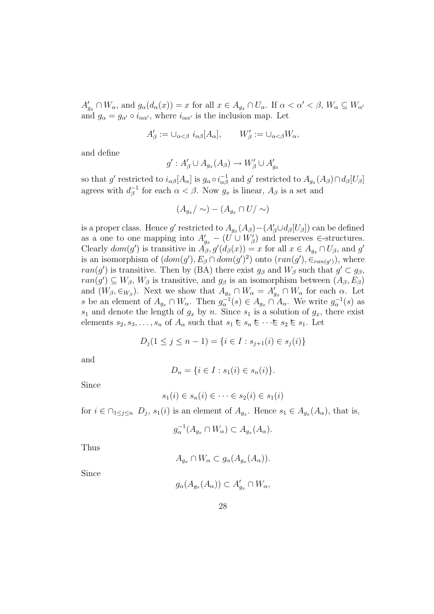$A'_{g_x} \cap W_{\alpha}$ , and  $g_{\alpha}(d_{\alpha}(x)) = x$  for all  $x \in A_{g_x} \cap U_{\alpha}$ . If  $\alpha < \alpha' < \beta$ ,  $W_{\alpha} \subseteq W_{\alpha'}$ and  $g_{\alpha} = g_{\alpha'} \circ i_{\alpha \alpha'}$ , where  $i_{\alpha \alpha'}$  is the inclusion map. Let

$$
A'_{\beta} := \cup_{\alpha < \beta} i_{\alpha\beta} [A_{\alpha}], \qquad W'_{\beta} := \cup_{\alpha < \beta} W_{\alpha},
$$

and define

$$
g': A'_{\beta} \cup A_{g_x}(A_{\beta}) \to W'_{\beta} \cup A'_{g_x}
$$

so that g' restricted to  $i_{\alpha\beta}[A_{\alpha}]$  is  $g_{\alpha} \circ i_{\alpha\beta}^{-1}$  and g' restricted to  $A_{g_x}(A_{\beta}) \cap d_{\beta}[U_{\beta}]$ agrees with  $d_{\beta}^{-1}$  for each  $\alpha < \beta$ . Now  $g_x$  is linear,  $A_{\beta}$  is a set and

$$
(A_{g_x}/\sim)-(A_{g_x}\cap U/\sim)
$$

is a proper class. Hence g' restricted to  $A_{g_x}(A_\beta) - (A'_\beta \cup d_\beta[U_\beta])$  can be defined as a one to one mapping into  $A'_{g_x} - (U \cup W'_\beta)$  and preserves ∈-structures. Clearly  $dom(g')$  is transitive in  $\tilde{A}_{\beta}, g'(d_{\beta}(x)) = x$  for all  $x \in A_{g_x} \cap U_{\beta}$ , and g' is an isomorphism of  $(dom(g'), E_\beta \cap dom(g')^2)$  onto  $(ran(g'), \in_{ran(g')})$ , where  $ran(g')$  is transitive. Then by (BA) there exist  $g_{\beta}$  and  $W_{\beta}$  such that  $g' \subset g_{\beta}$ ,  $ran(g') \subseteq W_\beta$ ,  $W_\beta$  is transitive, and  $g_\beta$  is an isomorphism between  $(A_\beta, E_\beta)$ and  $(W_\beta, \in_{W_\beta})$ . Next we show that  $A_{g_x} \cap W_\alpha = A'_{g_x} \cap W_\alpha$  for each  $\alpha$ . Let s be an element of  $A_{g_x} \cap W_\alpha$ . Then  $g_\alpha^{-1}(s) \in A_{g_x} \cap A_\alpha$ . We write  $g_\alpha^{-1}(s)$  as  $s_1$  and denote the length of  $g_x$  by n. Since  $s_1$  is a solution of  $g_x$ , there exist elements  $s_2, s_3, \ldots, s_n$  of  $A_\alpha$  such that  $s_1 \in s_n \in \cdots \in s_2 \in s_1$ . Let

$$
D_j(1 \le j \le n-1) = \{i \in I : s_{j+1}(i) \in s_j(i)\}
$$

and

$$
D_n = \{ i \in I : s_1(i) \in s_n(i) \}.
$$

Since

$$
s_1(i) \in s_n(i) \in \dots \in s_2(i) \in s_1(i)
$$

for  $i \in \bigcap_{1 \leq j \leq n} D_j$ ,  $s_1(i)$  is an element of  $A_{g_x}$ . Hence  $s_1 \in A_{g_x}(A_\alpha)$ , that is,

$$
g_{\alpha}^{-1}(A_{g_x} \cap W_{\alpha}) \subset A_{g_x}(A_{\alpha}).
$$

Thus

$$
A_{g_x} \cap W_{\alpha} \subset g_{\alpha}(A_{g_x}(A_{\alpha})).
$$

Since

$$
g_{\alpha}(A_{g_x}(A_{\alpha})) \subset A'_{g_x} \cap W_{\alpha},
$$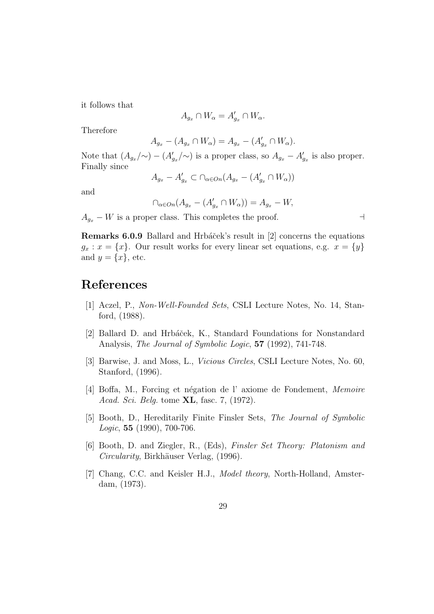it follows that

$$
A_{g_x} \cap W_{\alpha} = A'_{g_x} \cap W_{\alpha}.
$$

Therefore

$$
A_{g_x} - (A_{g_x} \cap W_{\alpha}) = A_{g_x} - (A'_{g_x} \cap W_{\alpha}).
$$

Note that  $(A_{g_x}/\sim) - (A'_{g_x}/\sim)$  is a proper class, so  $A_{g_x} - A'_{g_x}$  is also proper. Finally since

$$
A_{g_x}-A'_{g_x}\subset \cap_{\alpha\in On}(A_{g_x}-(A'_{g_x}\cap W_{\alpha}))
$$

and

$$
\bigcap_{\alpha\in On}(A_{g_x}-(A'_{g_x}\cap W_{\alpha}))=A_{g_x}-W,
$$

 $A_{g_x} - W$  is a proper class. This completes the proof.  $\Box$ 

Remarks 6.0.9 Ballard and Hrbáček's result in [2] concerns the equations  $g_x: x = \{x\}$ . Our result works for every linear set equations, e.g.  $x = \{y\}$ and  $y = \{x\}$ , etc.

# References

- [1] Aczel, P., Non-Well-Founded Sets, CSLI Lecture Notes, No. 14, Stanford, (1988).
- [2] Ballard D. and Hrbáček, K., Standard Foundations for Nonstandard Analysis, *The Journal of Symbolic Logic*, **57** (1992), 741-748.
- [3] Barwise, J. and Moss, L., Vicious Circles, CSLI Lecture Notes, No. 60, Stanford, (1996).
- [4] Boffa, M., Forcing et n´egation de l' axiome de Fondement, Memoire Acad. Sci. Belg. tome XL, fasc. 7, (1972).
- [5] Booth, D., Hereditarily Finite Finsler Sets, The Journal of Symbolic Logic, 55 (1990), 700-706.
- [6] Booth, D. and Ziegler, R., (Eds), Finsler Set Theory: Platonism and Circularity, Birkhäuser Verlag, (1996).
- [7] Chang, C.C. and Keisler H.J., *Model theory*, North-Holland, Amsterdam, (1973).